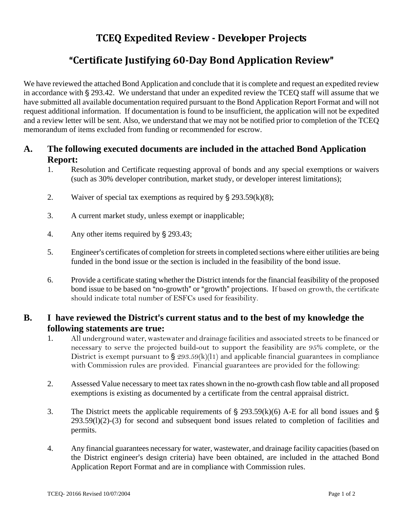## **TCEQ Expedited Review Developer Projects**

## **"Certificate Justifying 60-Day Bond Application Review"**

We have reviewed the attached Bond Application and conclude that it is complete and request an expedited review in accordance with  $\S 293.42$ . We understand that under an expedited review the TCEQ staff will assume that we have submitted all available documentation required pursuant to the Bond Application Report Format and will not request additional information. If documentation is found to be insufficient, the application will not be expedited and a review letter will be sent. Also, we understand that we may not be notified prior to completion of the TCEQ memorandum of items excluded from funding or recommended for escrow.

## **A. The following executed documents are included in the attached Bond Application Report:**

- 1. Resolution and Certificate requesting approval of bonds and any special exemptions or waivers (such as 30% developer contribution, market study, or developer interest limitations);
- 2. Waiver of special tax exemptions as required by  $\S 293.59(k)(8)$ ;
- 3. A current market study, unless exempt or inapplicable;
- 4. Any other items required by  $\S$  293.43;
- 5. Engineer's certificates of completion for streets in completed sections where either utilities are being funded in the bond issue or the section is included in the feasibility of the bond issue.
- 6. Provide a certificate stating whether the District intends for the financial feasibility of the proposed bond issue to be based on "no-growth" or "growth" projections. If based on growth, the certificate should indicate total number of ESFCs used for feasibility.

## **B.** I have reviewed the District's current status and to the best of my knowledge the **following statements are true:**

- 1. All underground water, wastewater and drainage facilities and associated streets to be financed or necessary to serve the projected build-out to support the feasibility are 95% complete, or the District is exempt pursuant to  $\frac{293.59(k)}{11}$  and applicable financial guarantees in compliance with Commission rules are provided. Financial guarantees are provided for the following:
- 2. Assessed Value necessary to meet tax rates shown in the no-growth cash flow table and all proposed exemptions is existing as documented by a certificate from the central appraisal district.
- 3. The District meets the applicable requirements of  $\S$  293.59(k)(6) A-E for all bond issues and  $\S$ 293.59(l)(2)-(3) for second and subsequent bond issues related to completion of facilities and permits.
- 4. Any financial guarantees necessary for water, wastewater, and drainage facility capacities (based on the District engineer's design criteria) have been obtained, are included in the attached Bond Application Report Format and are in compliance with Commission rules.